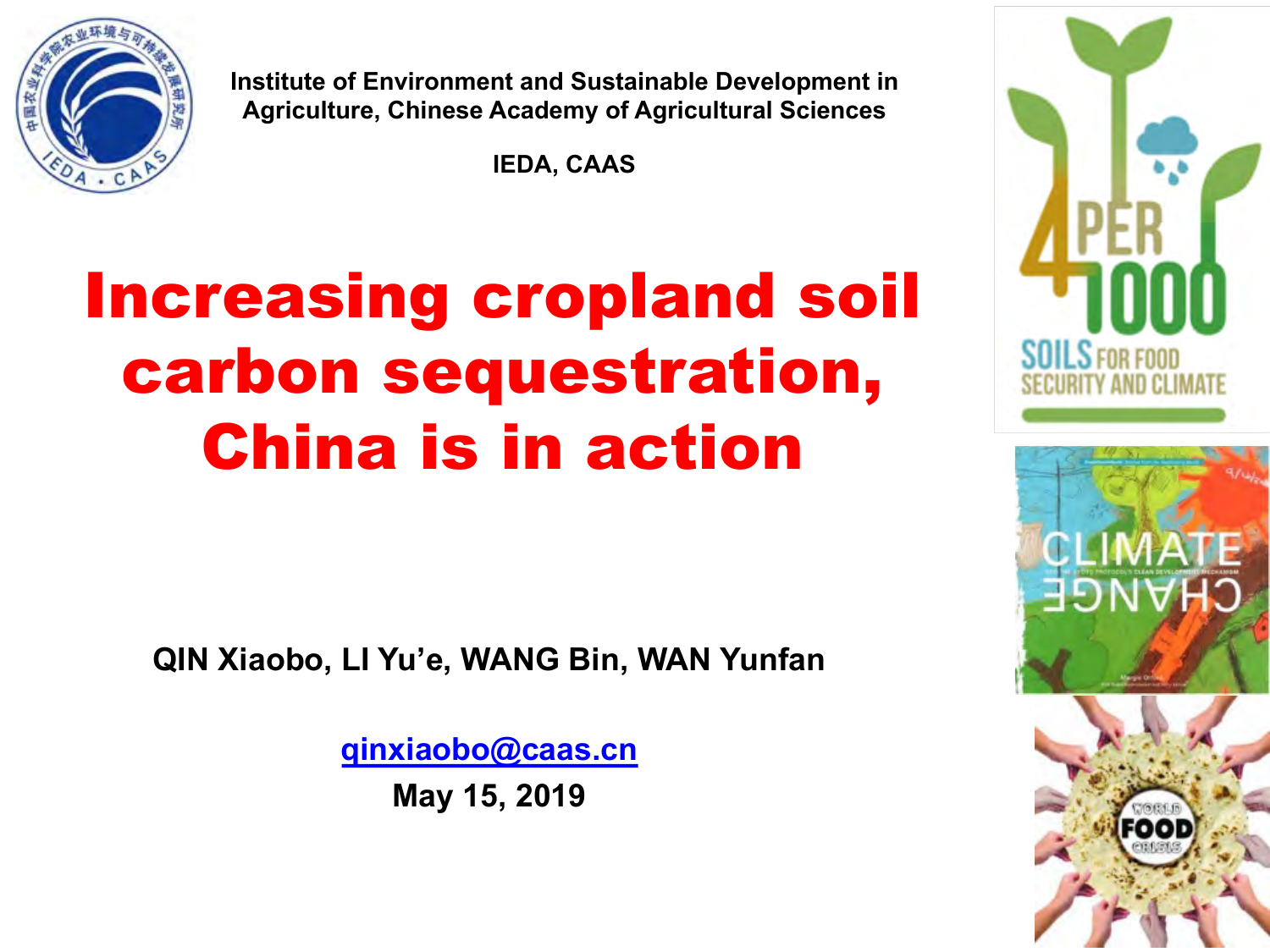

**Institute of Environment and Sustainable Development in Agriculture, Chinese Academy of Agricultural Sciences**

**IEDA, CAAS**

## Increasing cropland soil carbon sequestration, China is in action

**QIN Xiaobo, LI Yu'e, WANG Bin, WAN Yunfan**

**qinxiaobo@caas.cn**

**May 15, 2019**

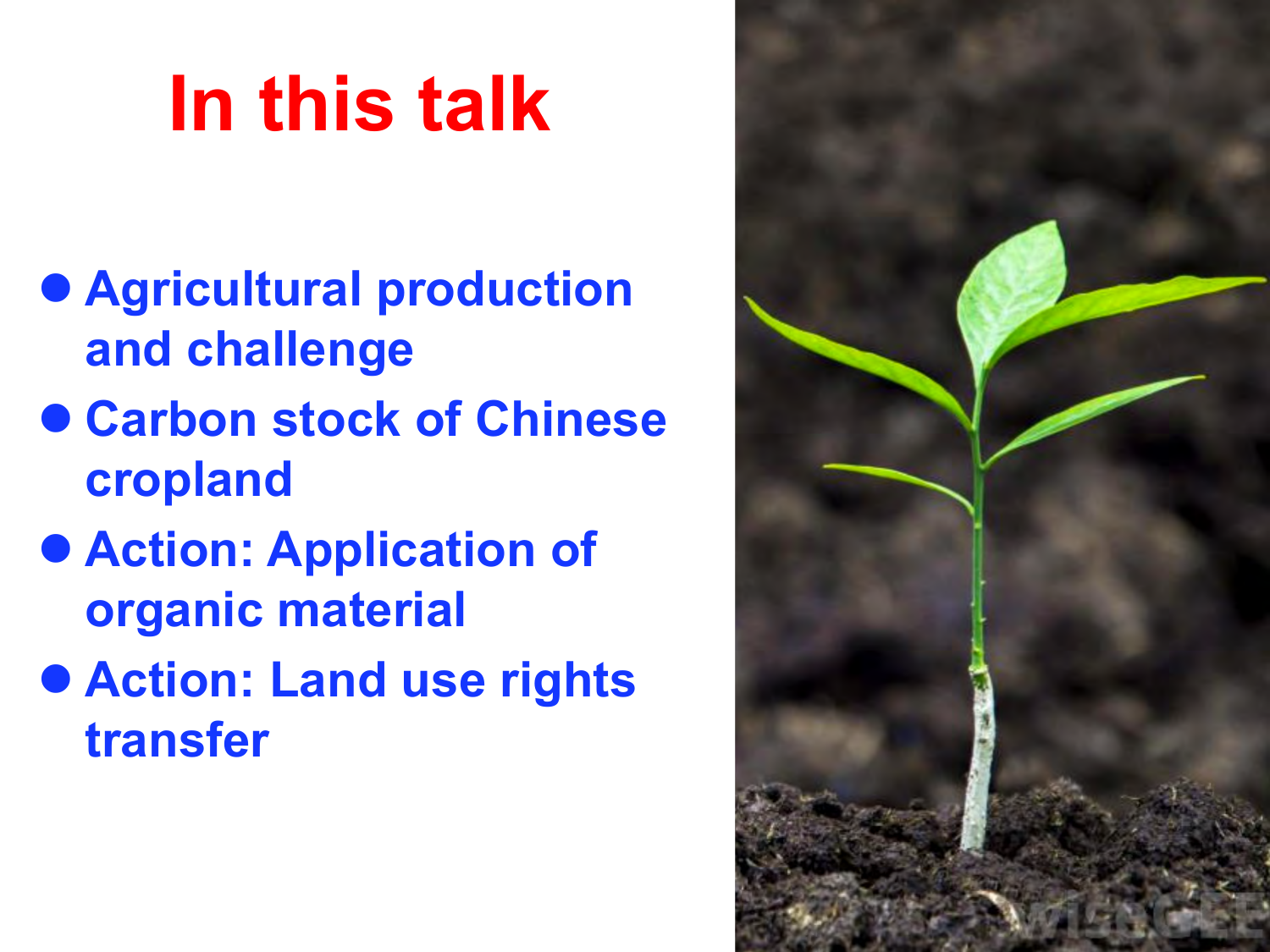# **In this talk**

- $\bullet$  **Agricultural production and challenge**
- l **Carbon stock of Chinese cropland**
- $\bullet$  **Action: Application of organic material**
- l **Action: Land use rights transfer**

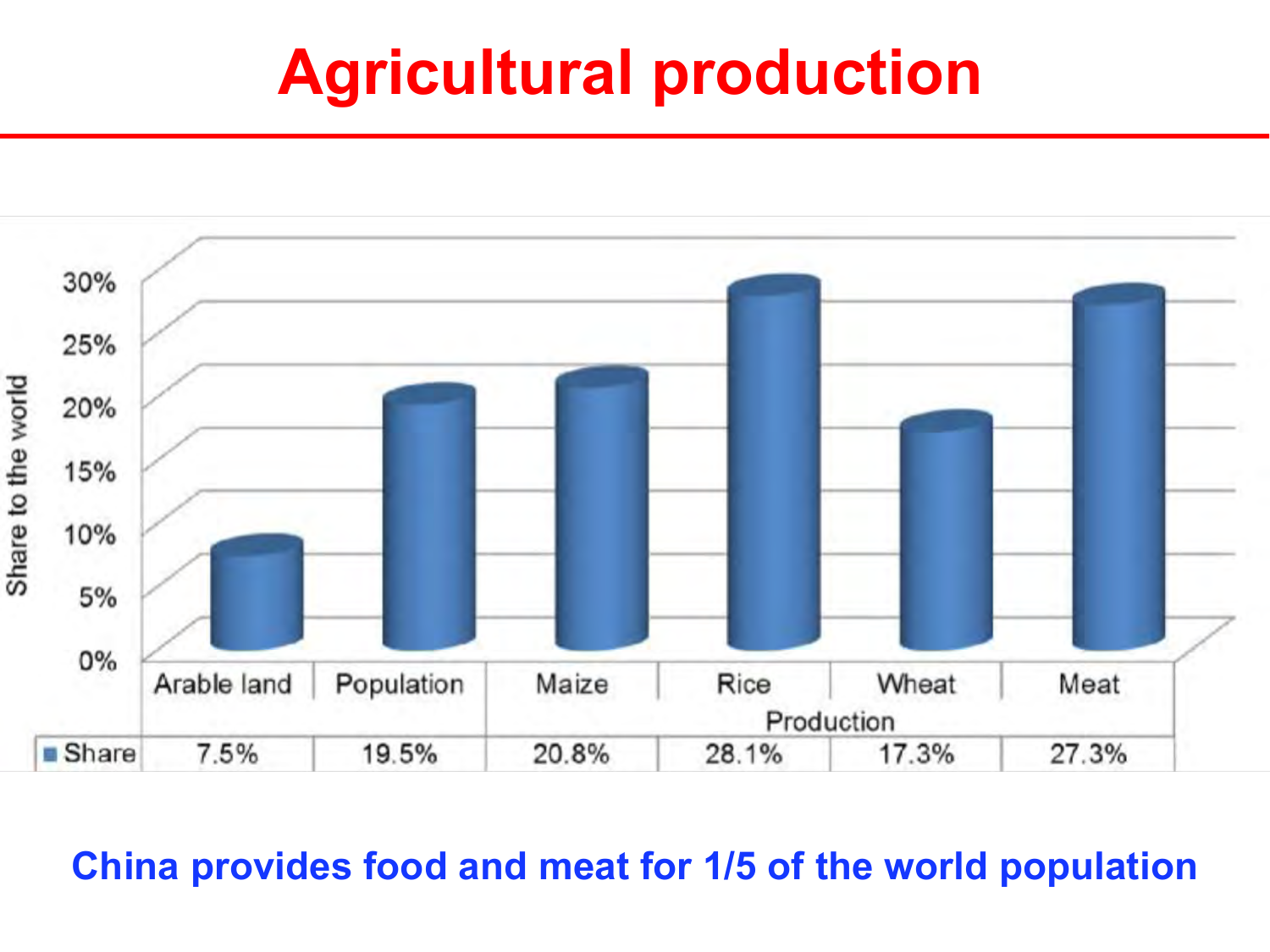#### **Agricultural production**



#### **China provides food and meat for 1/5 of the world population**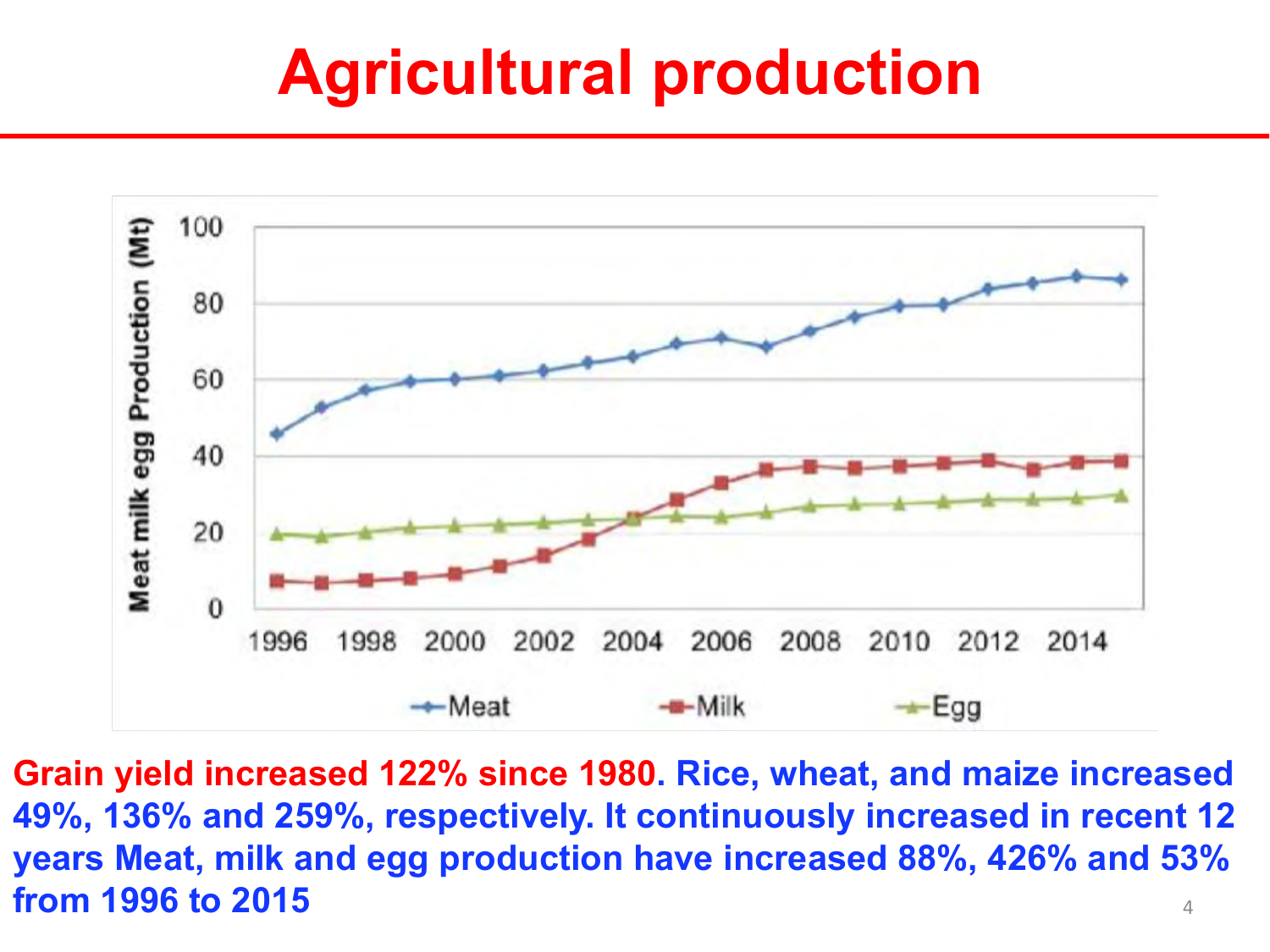### **Agricultural production**



4 **Grain yield increased 122% since 1980. Rice, wheat, and maize increased 49%, 136% and 259%, respectively. It continuously increased in recent 12 years Meat, milk and egg production have increased 88%, 426% and 53% from 1996 to 2015**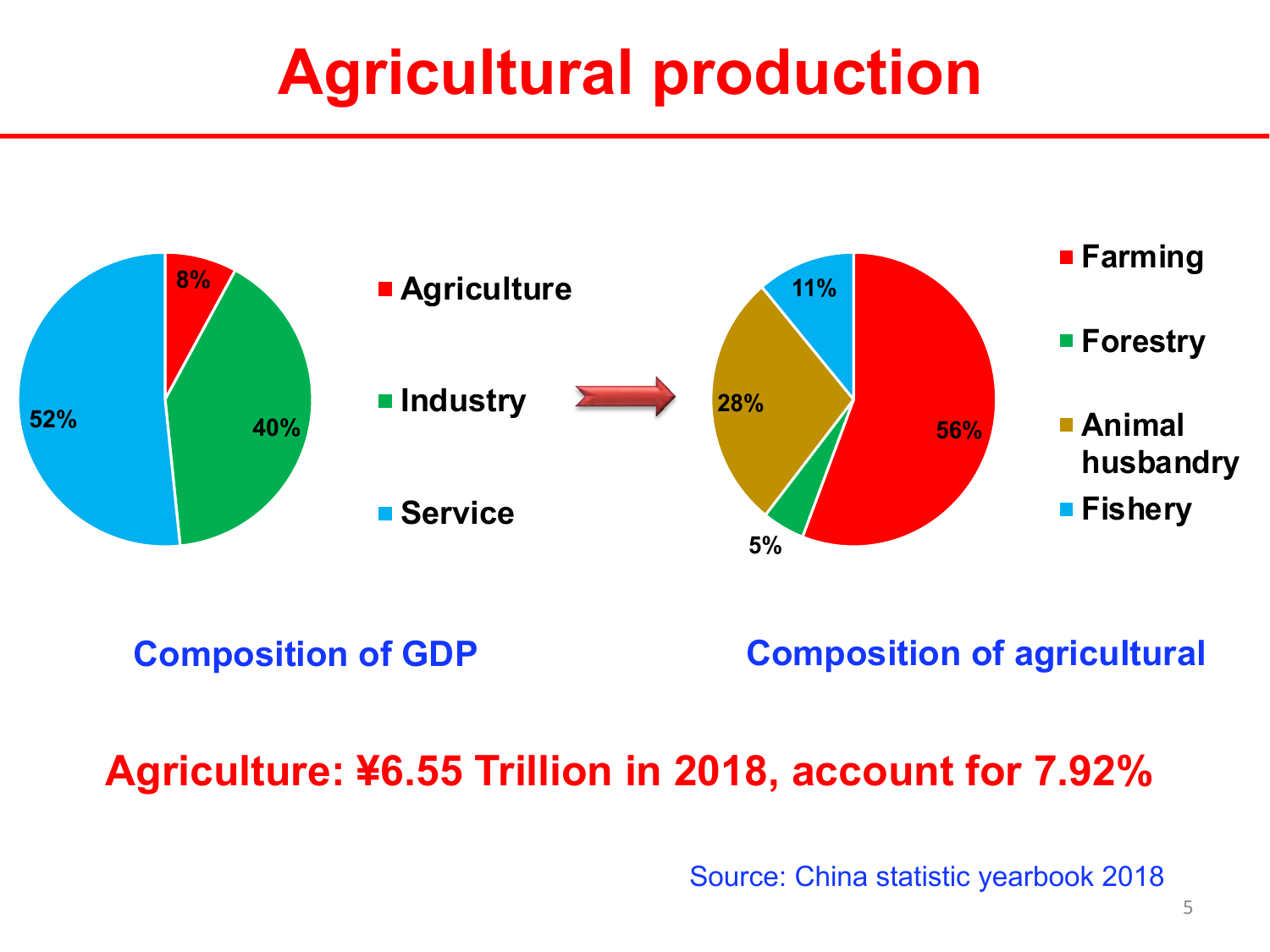### **Agricultural production**



**Composition of GDP Composition of agricultural**

#### **Agriculture: ¥6.55 Trillion in 2018, account for 7.92%**

Source: China statistic yearbook 2018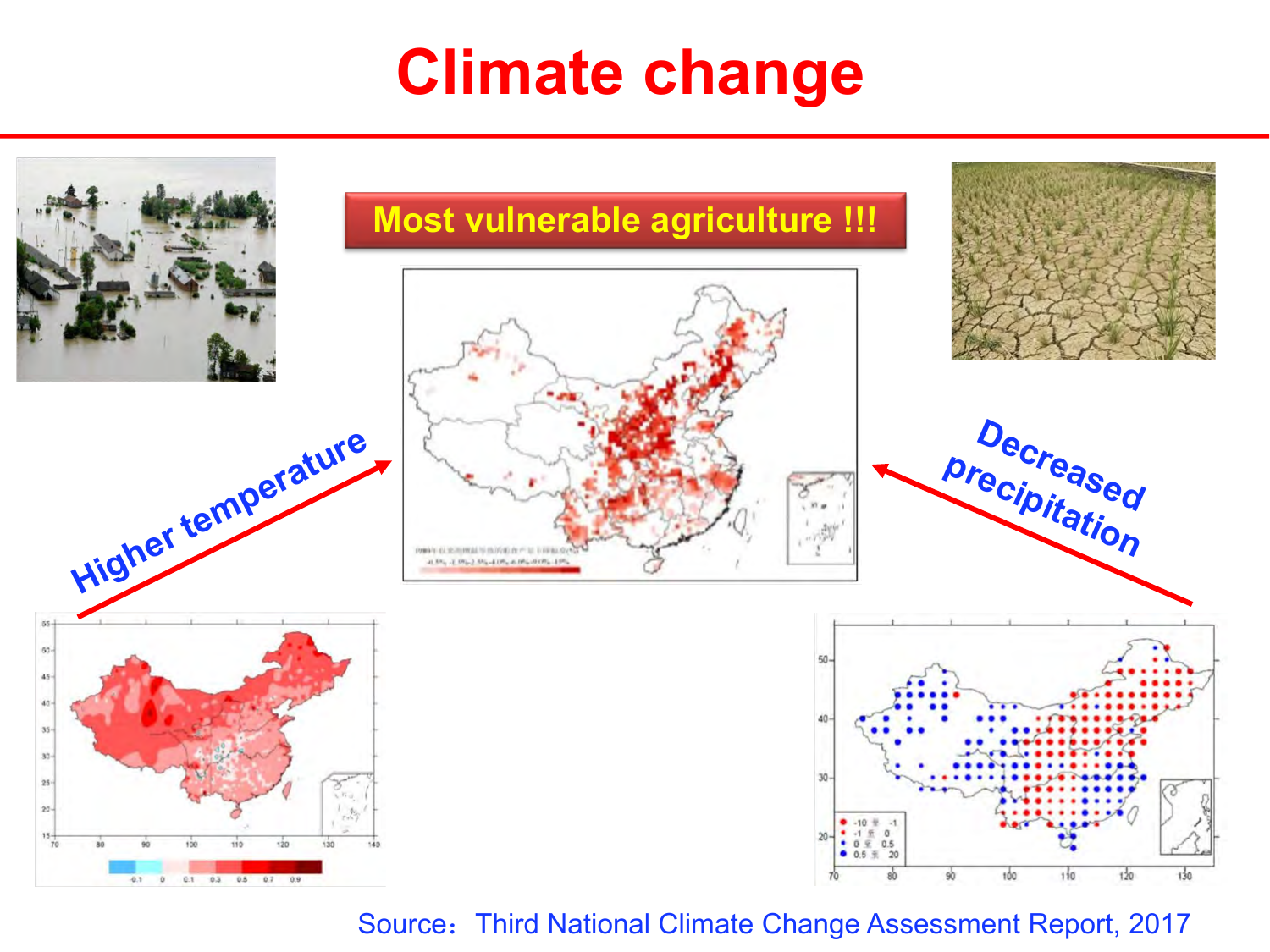### **Climate change**



Source: Third National Climate Change Assessment Report, 2017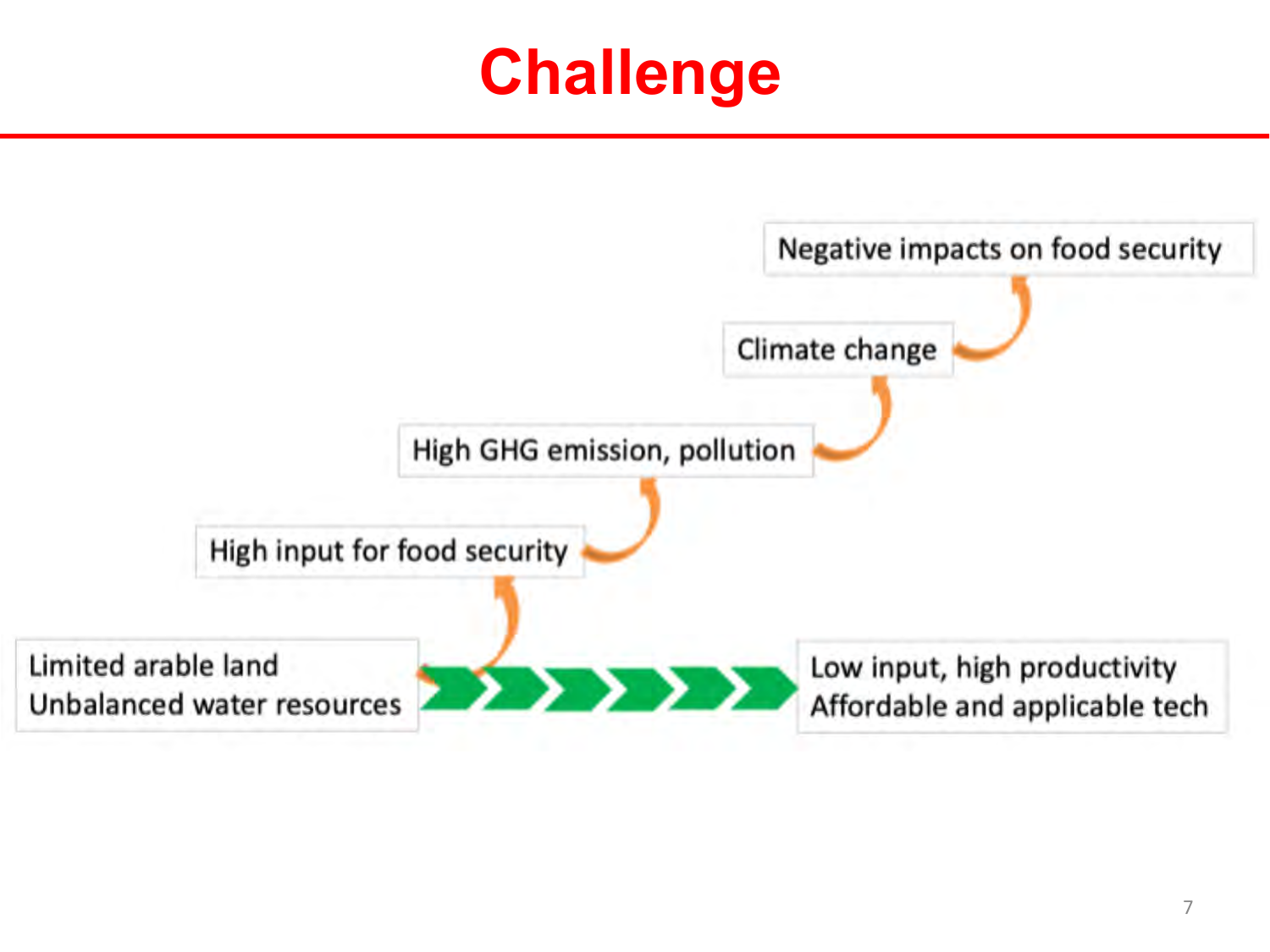### **Challenge**

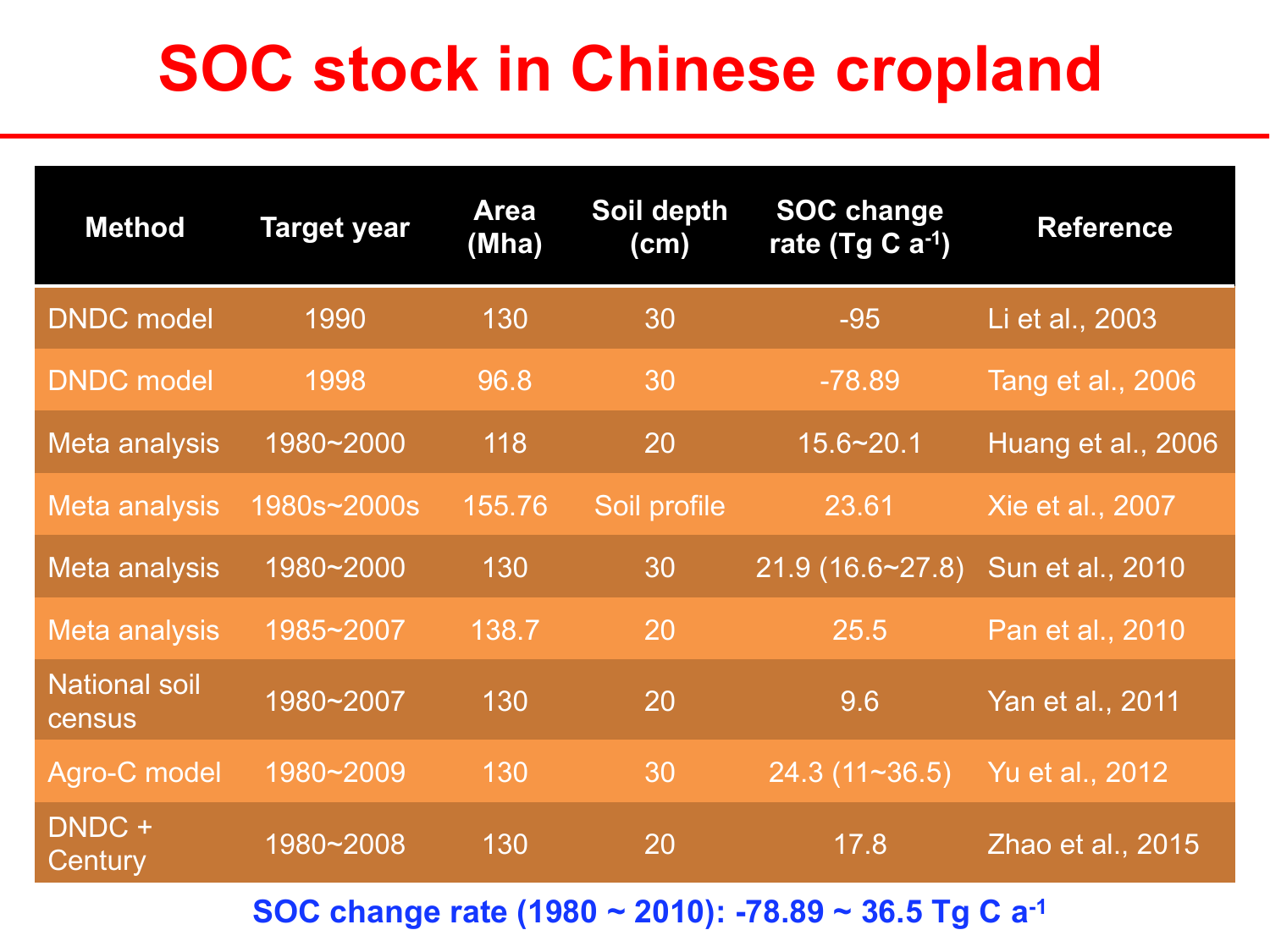### **SOC stock in Chinese cropland**

| <b>Method</b>                         | <b>Target year</b> | <b>Area</b><br>(Mha) | Soil depth<br>(cm) | <b>SOC change</b><br>rate (Tg C $a^{-1}$ ) | <b>Reference</b>   |
|---------------------------------------|--------------------|----------------------|--------------------|--------------------------------------------|--------------------|
| <b>DNDC</b> model                     | 1990               | 130                  | 30                 | $-95$                                      | Li et al., 2003    |
| <b>DNDC</b> model                     | 1998               | 96.8                 | 30                 | $-78.89$                                   | Tang et al., 2006  |
| Meta analysis                         | 1980~2000          | 118                  | 20                 | $15.6 - 20.1$                              | Huang et al., 2006 |
| Meta analysis                         | 1980s~2000s        | 155.76               | Soil profile       | 23.61                                      | Xie et al., 2007   |
| Meta analysis                         | 1980~2000          | 130                  | 30                 | 21.9(16.6~27.8)                            | Sun et al., 2010   |
| Meta analysis                         | 1985~2007          | 138.7                | 20                 | 25.5                                       | Pan et al., 2010   |
| <b>National soil</b><br><b>census</b> | 1980~2007          | 130                  | 20                 | 9.6                                        | Yan et al., 2011   |
| Agro-C model                          | 1980~2009          | 130                  | 30                 | 24.3(11~36.5)                              | Yu et al., 2012    |
| DNDC +<br>Century                     | 1980~2008          | 130                  | 20                 | 17.8                                       | Zhao et al., 2015  |

**SOC change rate (1980 ~ 2010): -78.89 ~ 36.5 Tg C a-1**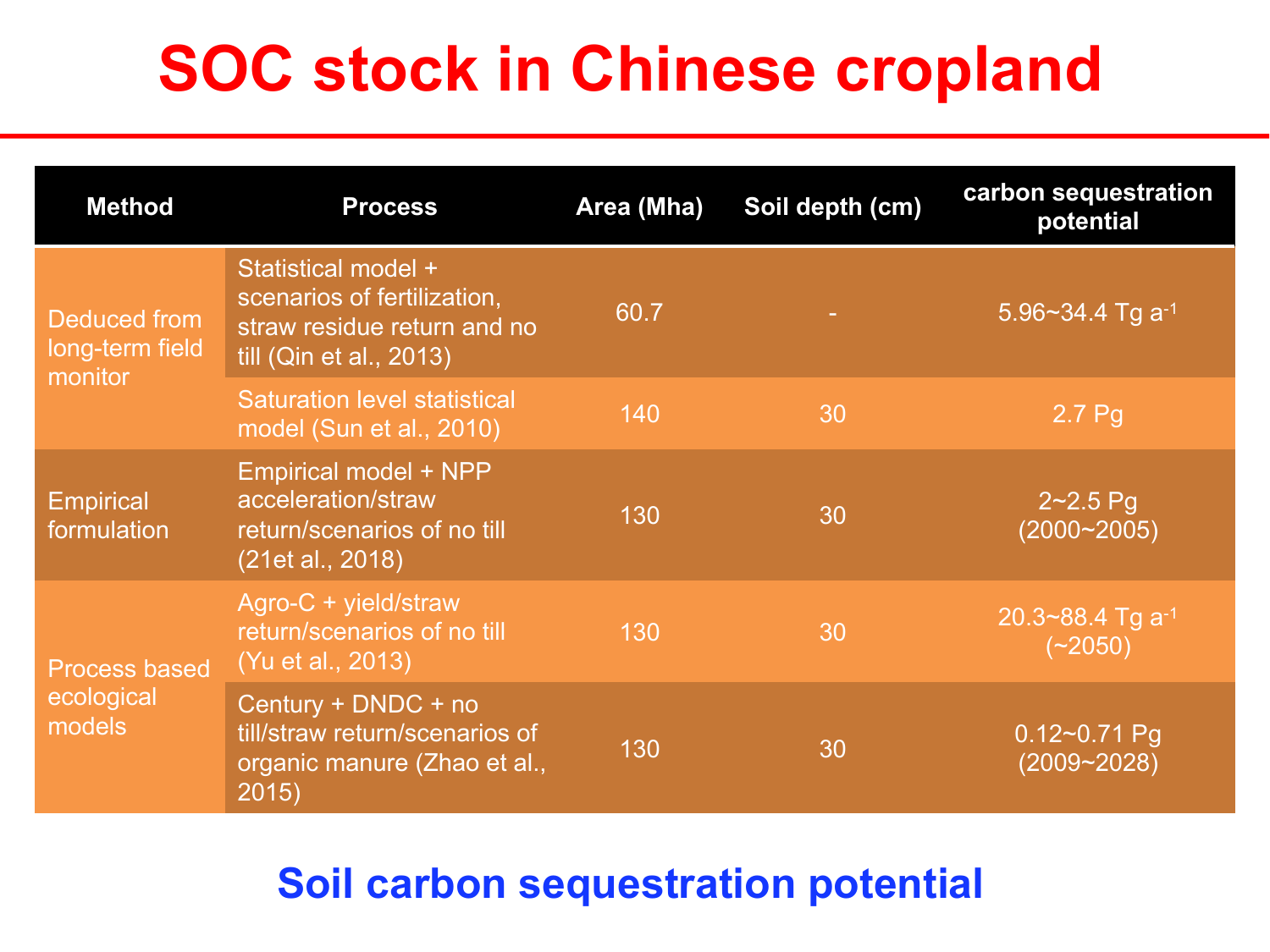### **SOC stock in Chinese cropland**

| <b>Method</b>                                | <b>Process</b>                                                                                               | Area (Mha) | Soil depth (cm) | carbon sequestration<br>potential   |
|----------------------------------------------|--------------------------------------------------------------------------------------------------------------|------------|-----------------|-------------------------------------|
| Deduced from<br>long-term field<br>monitor   | Statistical model +<br>scenarios of fertilization,<br>straw residue return and no<br>till (Qin et al., 2013) | 60.7       |                 | 5.96~34.4 Tg $a^{-1}$               |
|                                              | <b>Saturation level statistical</b><br>model (Sun et al., 2010)                                              | 140        | 30              | 2.7 <sub>pg</sub>                   |
| <b>Empirical</b><br>formulation              | <b>Empirical model + NPP</b><br>acceleration/straw<br>return/scenarios of no till<br>(21et al., 2018)        | 130        | 30              | $2 - 2.5$ Pg<br>$(2000 - 2005)$     |
| <b>Process based</b><br>ecological<br>models | Agro-C + yield/straw<br>return/scenarios of no till<br>(Yu et al., 2013)                                     | 130        | 30              | 20.3~88.4 Tg $a^{-1}$<br>$(*2050)$  |
|                                              | Century + DNDC + no<br>till/straw return/scenarios of<br>organic manure (Zhao et al.,<br>2015)               | 130        | 30              | $0.12 - 0.71$ Pg<br>$(2009 - 2028)$ |

#### **Soil carbon sequestration potential**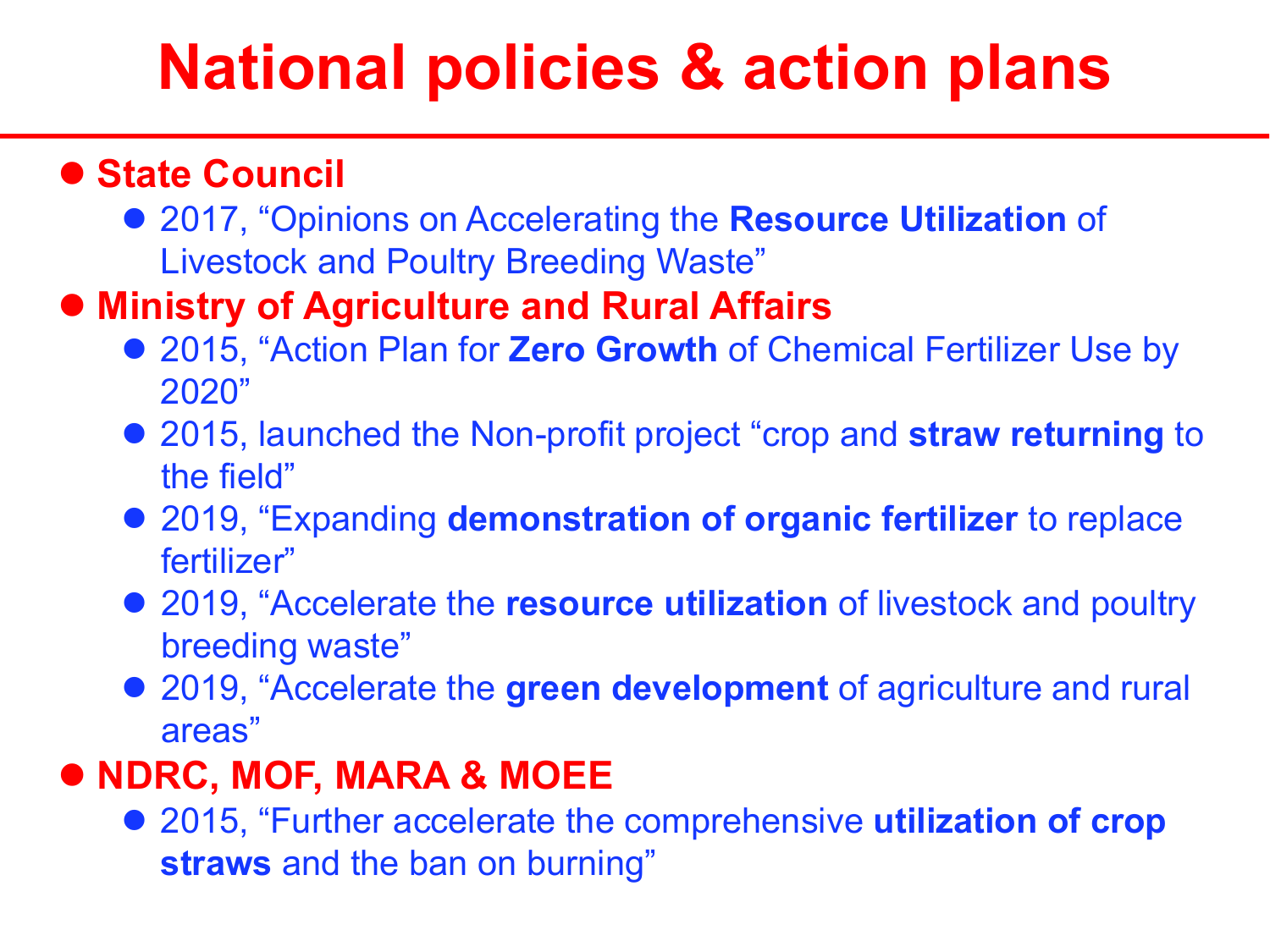### **National policies & action plans**

#### l **State Council**

**• 2017, "Opinions on Accelerating the Resource Utilization of** Livestock and Poultry Breeding Waste"

#### l **Ministry of Agriculture and Rural Affairs**

- **2015, "Action Plan for Zero Growth of Chemical Fertilizer Use by** 2020"
- **2015, launched the Non-profit project "crop and straw returning to** the field"
- **2019, "Expanding demonstration of organic fertilizer** to replace fertilizer"
- **2019, "Accelerate the resource utilization** of livestock and poultry breeding waste"
- **2019, "Accelerate the green development** of agriculture and rural areas"

#### l **NDRC, MOF, MARA & MOEE**

● 2015, "Further accelerate the comprehensive **utilization of crop straws** and the ban on burning"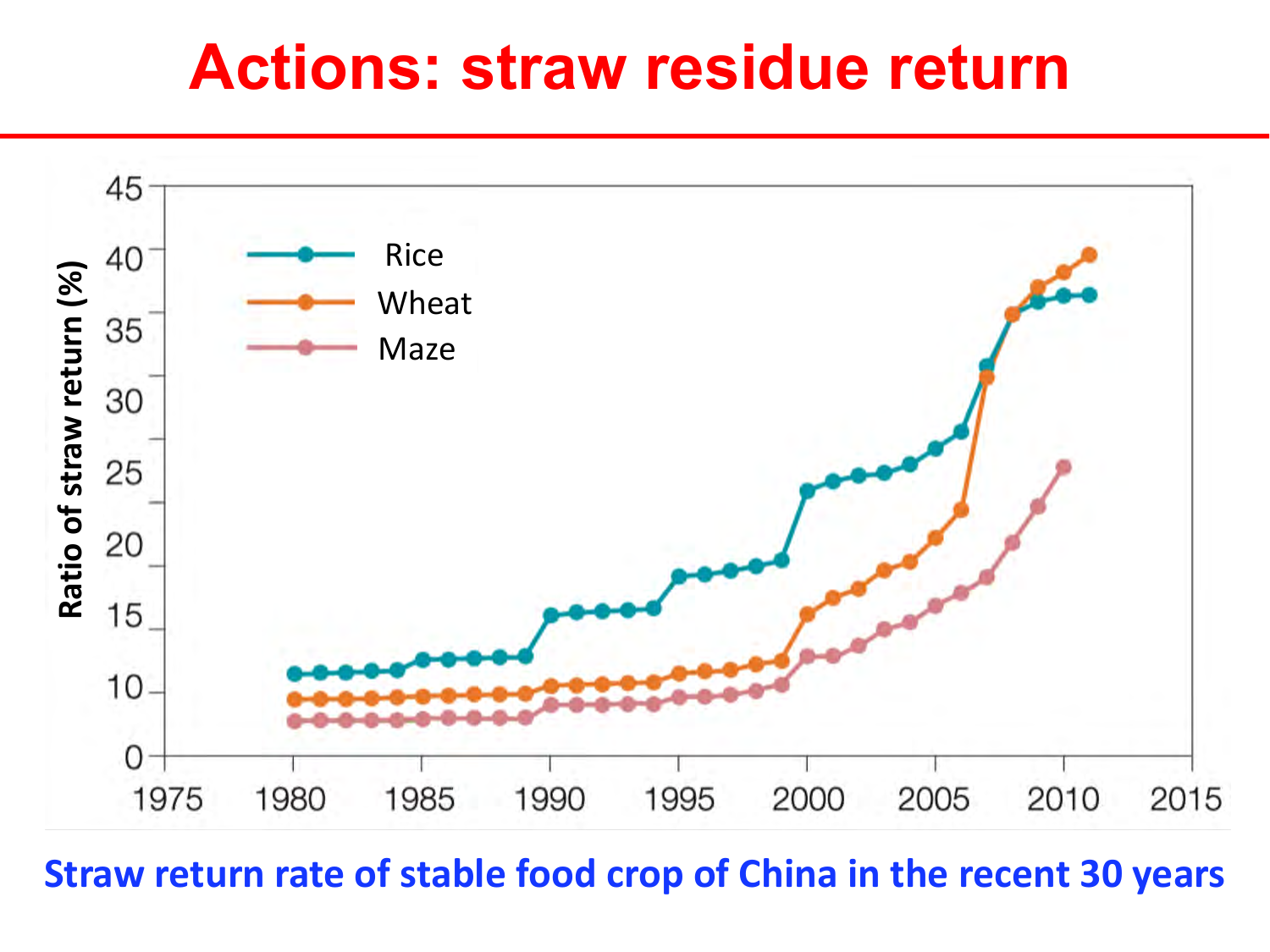#### **Actions: straw residue return**



**Straw return rate of stable food crop of China in the recent 30 years**